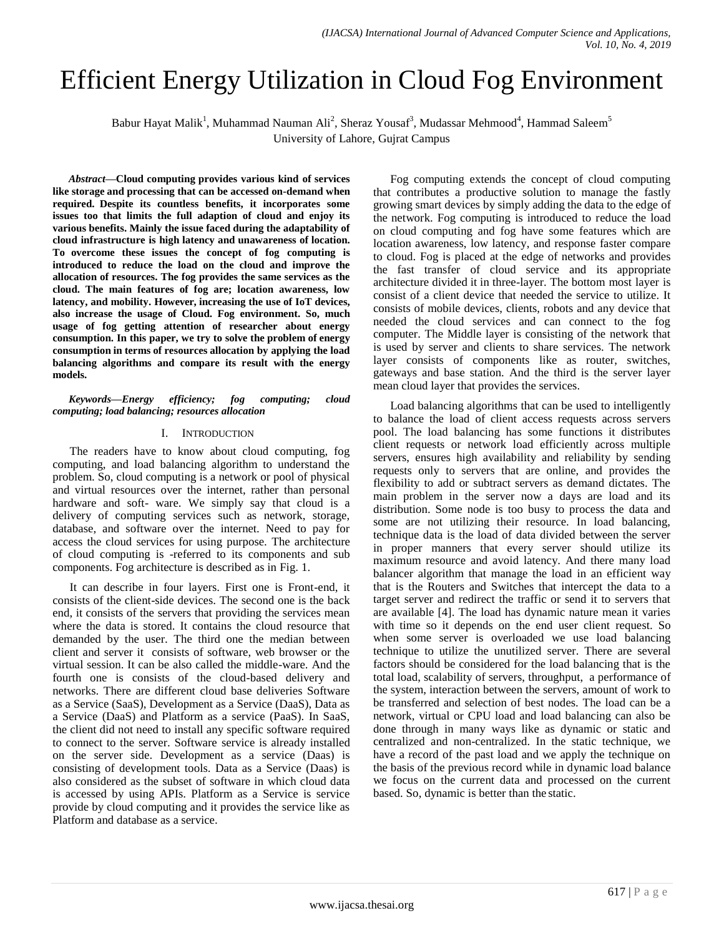# Efficient Energy Utilization in Cloud Fog Environment

Babur Hayat Malik<sup>1</sup>, Muhammad Nauman Ali<sup>2</sup>, Sheraz Yousaf<sup>3</sup>, Mudassar Mehmood<sup>4</sup>, Hammad Saleem<sup>5</sup> University of Lahore, Gujrat Campus

*Abstract***—Cloud computing provides various kind of services like storage and processing that can be accessed on-demand when required. Despite its countless benefits, it incorporates some issues too that limits the full adaption of cloud and enjoy its various benefits. Mainly the issue faced during the adaptability of cloud infrastructure is high latency and unawareness of location. To overcome these issues the concept of fog computing is introduced to reduce the load on the cloud and improve the allocation of resources. The fog provides the same services as the cloud. The main features of fog are; location awareness, low latency, and mobility. However, increasing the use of IoT devices, also increase the usage of Cloud. Fog environment. So, much usage of fog getting attention of researcher about energy consumption. In this paper, we try to solve the problem of energy consumption in terms of resources allocation by applying the load balancing algorithms and compare its result with the energy models.**

#### *Keywords—Energy efficiency; fog computing; cloud computing; load balancing; resources allocation*

## I. INTRODUCTION

The readers have to know about cloud computing, fog computing, and load balancing algorithm to understand the problem. So, cloud computing is a network or pool of physical and virtual resources over the internet, rather than personal hardware and soft- ware. We simply say that cloud is a delivery of computing services such as network, storage, database, and software over the internet. Need to pay for access the cloud services for using purpose. The architecture of cloud computing is -referred to its components and sub components. Fog architecture is described as in Fig. 1.

It can describe in four layers. First one is Front-end, it consists of the client-side devices. The second one is the back end, it consists of the servers that providing the services mean where the data is stored. It contains the cloud resource that demanded by the user. The third one the median between client and server it consists of software, web browser or the virtual session. It can be also called the middle-ware. And the fourth one is consists of the cloud-based delivery and networks. There are different cloud base deliveries Software as a Service (SaaS), Development as a Service (DaaS), Data as a Service (DaaS) and Platform as a service (PaaS). In SaaS, the client did not need to install any specific software required to connect to the server. Software service is already installed on the server side. Development as a service (Daas) is consisting of development tools. Data as a Service (Daas) is also considered as the subset of software in which cloud data is accessed by using APIs. Platform as a Service is service provide by cloud computing and it provides the service like as Platform and database as a service.

Fog computing extends the concept of cloud computing that contributes a productive solution to manage the fastly growing smart devices by simply adding the data to the edge of the network. Fog computing is introduced to reduce the load on cloud computing and fog have some features which are location awareness, low latency, and response faster compare to cloud. Fog is placed at the edge of networks and provides the fast transfer of cloud service and its appropriate architecture divided it in three-layer. The bottom most layer is consist of a client device that needed the service to utilize. It consists of mobile devices, clients, robots and any device that needed the cloud services and can connect to the fog computer. The Middle layer is consisting of the network that is used by server and clients to share services. The network layer consists of components like as router, switches, gateways and base station. And the third is the server layer mean cloud layer that provides the services.

Load balancing algorithms that can be used to intelligently to balance the load of client access requests across servers pool. The load balancing has some functions it distributes client requests or network load efficiently across multiple servers, ensures high availability and reliability by sending requests only to servers that are online, and provides the flexibility to add or subtract servers as demand dictates. The main problem in the server now a days are load and its distribution. Some node is too busy to process the data and some are not utilizing their resource. In load balancing, technique data is the load of data divided between the server in proper manners that every server should utilize its maximum resource and avoid latency. And there many load balancer algorithm that manage the load in an efficient way that is the Routers and Switches that intercept the data to a target server and redirect the traffic or send it to servers that are available [4]. The load has dynamic nature mean it varies with time so it depends on the end user client request. So when some server is overloaded we use load balancing technique to utilize the unutilized server. There are several factors should be considered for the load balancing that is the total load, scalability of servers, throughput, a performance of the system, interaction between the servers, amount of work to be transferred and selection of best nodes. The load can be a network, virtual or CPU load and load balancing can also be done through in many ways like as dynamic or static and centralized and non-centralized. In the static technique, we have a record of the past load and we apply the technique on the basis of the previous record while in dynamic load balance we focus on the current data and processed on the current based. So, dynamic is better than the static.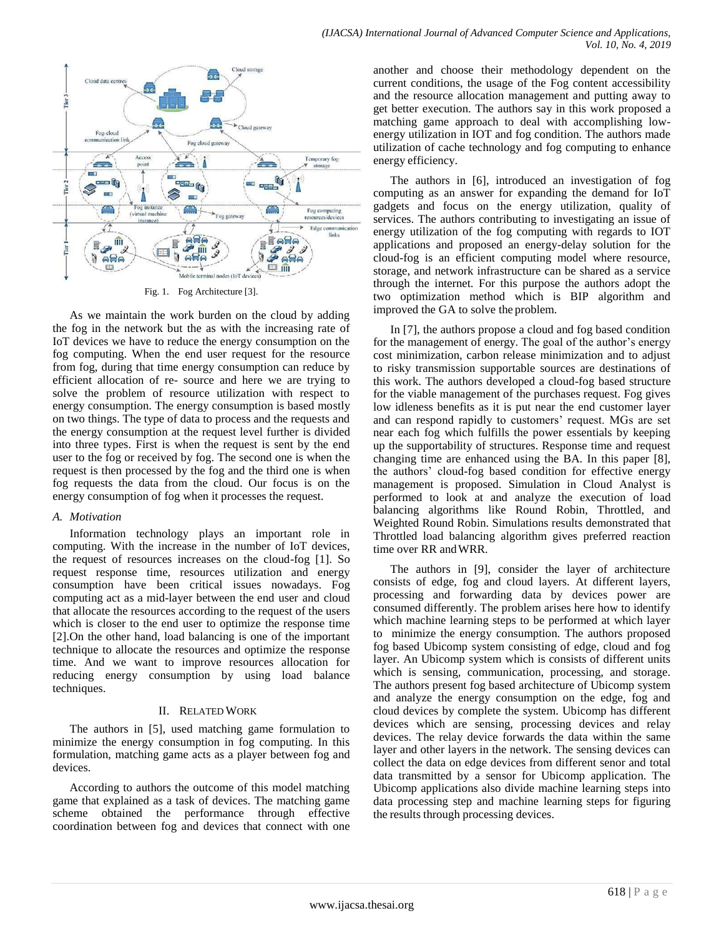

Fig. 1. Fog Architecture [3].

As we maintain the work burden on the cloud by adding the fog in the network but the as with the increasing rate of IoT devices we have to reduce the energy consumption on the fog computing. When the end user request for the resource from fog, during that time energy consumption can reduce by efficient allocation of re- source and here we are trying to solve the problem of resource utilization with respect to energy consumption. The energy consumption is based mostly on two things. The type of data to process and the requests and the energy consumption at the request level further is divided into three types. First is when the request is sent by the end user to the fog or received by fog. The second one is when the request is then processed by the fog and the third one is when fog requests the data from the cloud. Our focus is on the energy consumption of fog when it processes the request.

## *A. Motivation*

Information technology plays an important role in computing. With the increase in the number of IoT devices, the request of resources increases on the cloud-fog [1]. So request response time, resources utilization and energy consumption have been critical issues nowadays. Fog computing act as a mid-layer between the end user and cloud that allocate the resources according to the request of the users which is closer to the end user to optimize the response time [2].On the other hand, load balancing is one of the important technique to allocate the resources and optimize the response time. And we want to improve resources allocation for reducing energy consumption by using load balance techniques.

## II. RELATED WORK

The authors in [5], used matching game formulation to minimize the energy consumption in fog computing. In this formulation, matching game acts as a player between fog and devices.

According to authors the outcome of this model matching game that explained as a task of devices. The matching game scheme obtained the performance through effective coordination between fog and devices that connect with one another and choose their methodology dependent on the current conditions, the usage of the Fog content accessibility and the resource allocation management and putting away to get better execution. The authors say in this work proposed a matching game approach to deal with accomplishing lowenergy utilization in IOT and fog condition. The authors made utilization of cache technology and fog computing to enhance energy efficiency.

The authors in [6], introduced an investigation of fog computing as an answer for expanding the demand for IoT gadgets and focus on the energy utilization, quality of services. The authors contributing to investigating an issue of energy utilization of the fog computing with regards to IOT applications and proposed an energy-delay solution for the cloud-fog is an efficient computing model where resource, storage, and network infrastructure can be shared as a service through the internet. For this purpose the authors adopt the two optimization method which is BIP algorithm and improved the GA to solve the problem.

In [7], the authors propose a cloud and fog based condition for the management of energy. The goal of the author's energy cost minimization, carbon release minimization and to adjust to risky transmission supportable sources are destinations of this work. The authors developed a cloud-fog based structure for the viable management of the purchases request. Fog gives low idleness benefits as it is put near the end customer layer and can respond rapidly to customers' request. MGs are set near each fog which fulfills the power essentials by keeping up the supportability of structures. Response time and request changing time are enhanced using the BA. In this paper [8], the authors' cloud-fog based condition for effective energy management is proposed. Simulation in Cloud Analyst is performed to look at and analyze the execution of load balancing algorithms like Round Robin, Throttled, and Weighted Round Robin. Simulations results demonstrated that Throttled load balancing algorithm gives preferred reaction time over RR andWRR.

The authors in [9], consider the layer of architecture consists of edge, fog and cloud layers. At different layers, processing and forwarding data by devices power are consumed differently. The problem arises here how to identify which machine learning steps to be performed at which layer to minimize the energy consumption. The authors proposed fog based Ubicomp system consisting of edge, cloud and fog layer. An Ubicomp system which is consists of different units which is sensing, communication, processing, and storage. The authors present fog based architecture of Ubicomp system and analyze the energy consumption on the edge, fog and cloud devices by complete the system. Ubicomp has different devices which are sensing, processing devices and relay devices. The relay device forwards the data within the same layer and other layers in the network. The sensing devices can collect the data on edge devices from different senor and total data transmitted by a sensor for Ubicomp application. The Ubicomp applications also divide machine learning steps into data processing step and machine learning steps for figuring the results through processing devices.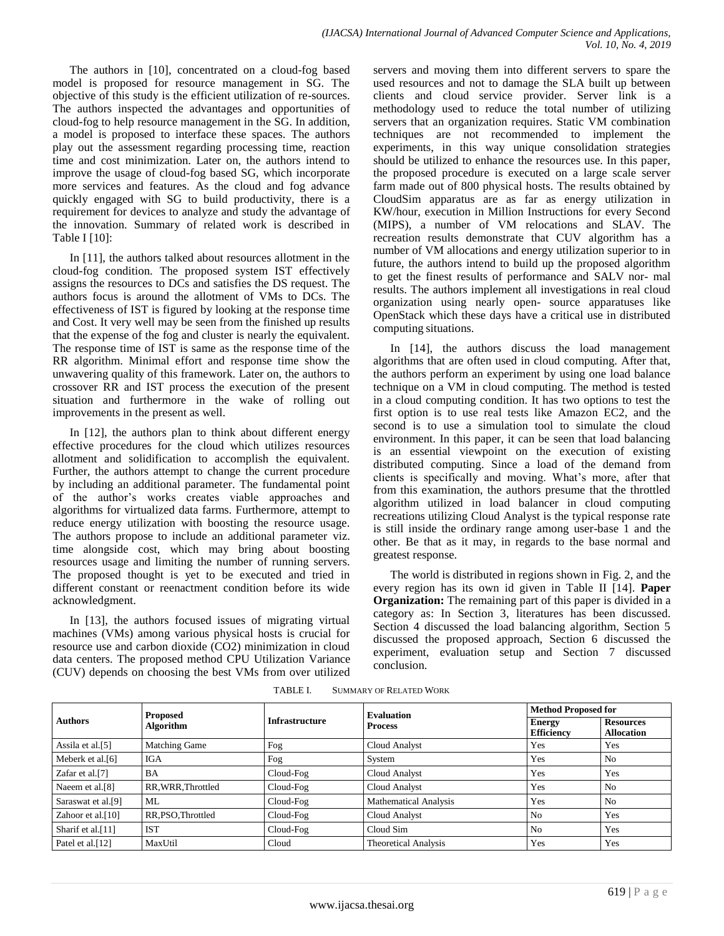The authors in [10], concentrated on a cloud-fog based model is proposed for resource management in SG. The objective of this study is the efficient utilization of re-sources. The authors inspected the advantages and opportunities of cloud-fog to help resource management in the SG. In addition, a model is proposed to interface these spaces. The authors play out the assessment regarding processing time, reaction time and cost minimization. Later on, the authors intend to improve the usage of cloud-fog based SG, which incorporate more services and features. As the cloud and fog advance quickly engaged with SG to build productivity, there is a requirement for devices to analyze and study the advantage of the innovation. Summary of related work is described in Table I [10]:

In [11], the authors talked about resources allotment in the cloud-fog condition. The proposed system IST effectively assigns the resources to DCs and satisfies the DS request. The authors focus is around the allotment of VMs to DCs. The effectiveness of IST is figured by looking at the response time and Cost. It very well may be seen from the finished up results that the expense of the fog and cluster is nearly the equivalent. The response time of IST is same as the response time of the RR algorithm. Minimal effort and response time show the unwavering quality of this framework. Later on, the authors to crossover RR and IST process the execution of the present situation and furthermore in the wake of rolling out improvements in the present as well.

In [12], the authors plan to think about different energy effective procedures for the cloud which utilizes resources allotment and solidification to accomplish the equivalent. Further, the authors attempt to change the current procedure by including an additional parameter. The fundamental point of the author's works creates viable approaches and algorithms for virtualized data farms. Furthermore, attempt to reduce energy utilization with boosting the resource usage. The authors propose to include an additional parameter viz. time alongside cost, which may bring about boosting resources usage and limiting the number of running servers. The proposed thought is yet to be executed and tried in different constant or reenactment condition before its wide acknowledgment.

In [13], the authors focused issues of migrating virtual machines (VMs) among various physical hosts is crucial for resource use and carbon dioxide (CO2) minimization in cloud data centers. The proposed method CPU Utilization Variance (CUV) depends on choosing the best VMs from over utilized servers and moving them into different servers to spare the used resources and not to damage the SLA built up between clients and cloud service provider. Server link is a methodology used to reduce the total number of utilizing servers that an organization requires. Static VM combination techniques are not recommended to implement the experiments, in this way unique consolidation strategies should be utilized to enhance the resources use. In this paper, the proposed procedure is executed on a large scale server farm made out of 800 physical hosts. The results obtained by CloudSim apparatus are as far as energy utilization in KW/hour, execution in Million Instructions for every Second (MIPS), a number of VM relocations and SLAV. The recreation results demonstrate that CUV algorithm has a number of VM allocations and energy utilization superior to in future, the authors intend to build up the proposed algorithm to get the finest results of performance and SALV nor- mal results. The authors implement all investigations in real cloud organization using nearly open- source apparatuses like OpenStack which these days have a critical use in distributed computing situations.

In [14], the authors discuss the load management algorithms that are often used in cloud computing. After that, the authors perform an experiment by using one load balance technique on a VM in cloud computing. The method is tested in a cloud computing condition. It has two options to test the first option is to use real tests like Amazon EC2, and the second is to use a simulation tool to simulate the cloud environment. In this paper, it can be seen that load balancing is an essential viewpoint on the execution of existing distributed computing. Since a load of the demand from clients is specifically and moving. What's more, after that from this examination, the authors presume that the throttled algorithm utilized in load balancer in cloud computing recreations utilizing Cloud Analyst is the typical response rate is still inside the ordinary range among user-base 1 and the other. Be that as it may, in regards to the base normal and greatest response.

The world is distributed in regions shown in Fig. 2, and the every region has its own id given in Table II [14]. **Paper Organization:** The remaining part of this paper is divided in a category as: In Section 3, literatures has been discussed. Section 4 discussed the load balancing algorithm, Section 5 discussed the proposed approach, Section 6 discussed the experiment, evaluation setup and Section 7 discussed conclusion.

| <b>Proposed</b><br><b>Authors</b><br><b>Infrastructure</b><br><b>Algorithm</b> |                      |                | <b>Evaluation</b>                  | <b>Method Proposed for</b>            |                |
|--------------------------------------------------------------------------------|----------------------|----------------|------------------------------------|---------------------------------------|----------------|
|                                                                                |                      | <b>Process</b> | <b>Energy</b><br><b>Efficiency</b> | <b>Resources</b><br><b>Allocation</b> |                |
| Assila et al. <sup>[5]</sup>                                                   | <b>Matching Game</b> | Fog            | <b>Cloud Analyst</b>               | Yes                                   | Yes            |
| Meberk et al.[6]                                                               | <b>IGA</b>           | Fog            | System                             | Yes                                   | N <sub>o</sub> |
| Zafar et al.[7]                                                                | <b>BA</b>            | Cloud-Fog      | Cloud Analyst                      | Yes                                   | Yes            |
| Naeem et al. <sup>[8]</sup>                                                    | RR, WRR, Throttled   | Cloud-Fog      | Cloud Analyst                      | Yes                                   | N <sub>0</sub> |
| Saraswat et al.[9]                                                             | ML                   | Cloud-Fog      | <b>Mathematical Analysis</b>       | Yes                                   | N <sub>0</sub> |
| Zahoor et al. $[10]$                                                           | RR, PSO, Throttled   | Cloud-Fog      | Cloud Analyst                      | N <sub>0</sub>                        | Yes            |
| Sharif et al.[11]                                                              | <b>IST</b>           | Cloud-Fog      | Cloud Sim                          | N <sub>0</sub>                        | Yes            |
| Patel et al.[12]                                                               | MaxUtil              | Cloud          | <b>Theoretical Analysis</b>        | Yes                                   | Yes            |

TABLE I. SUMMARY OF RELATED WORK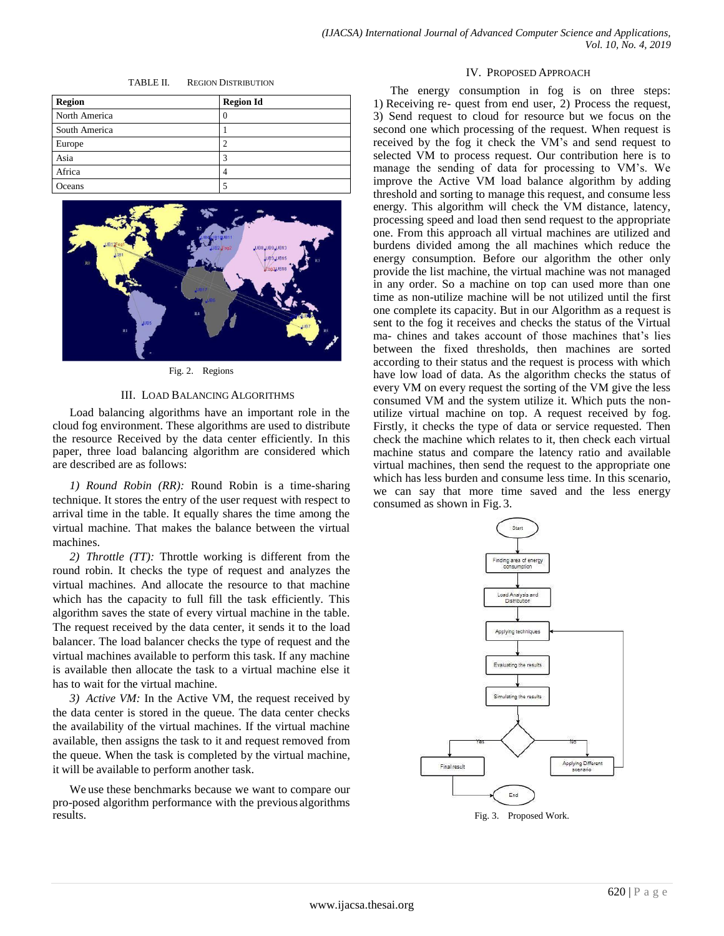| TABLE II. | <b>REGION DISTRIBUTION</b> |
|-----------|----------------------------|
|-----------|----------------------------|

| <b>Region</b> | <b>Region Id</b> |
|---------------|------------------|
| North America | $\theta$         |
| South America |                  |
| Europe        |                  |
| Asia          | 3                |
| Africa        | 4                |
| Oceans        |                  |



Fig. 2. Regions

#### III. LOAD BALANCING ALGORITHMS

Load balancing algorithms have an important role in the cloud fog environment. These algorithms are used to distribute the resource Received by the data center efficiently. In this paper, three load balancing algorithm are considered which are described are as follows:

*1) Round Robin (RR):* Round Robin is a time-sharing technique. It stores the entry of the user request with respect to arrival time in the table. It equally shares the time among the virtual machine. That makes the balance between the virtual machines.

*2) Throttle (TT):* Throttle working is different from the round robin. It checks the type of request and analyzes the virtual machines. And allocate the resource to that machine which has the capacity to full fill the task efficiently. This algorithm saves the state of every virtual machine in the table. The request received by the data center, it sends it to the load balancer. The load balancer checks the type of request and the virtual machines available to perform this task. If any machine is available then allocate the task to a virtual machine else it has to wait for the virtual machine.

*3) Active VM:* In the Active VM, the request received by the data center is stored in the queue. The data center checks the availability of the virtual machines. If the virtual machine available, then assigns the task to it and request removed from the queue. When the task is completed by the virtual machine, it will be available to perform another task.

We use these benchmarks because we want to compare our pro-posed algorithm performance with the previous algorithms results.

#### IV. PROPOSED APPROACH

The energy consumption in fog is on three steps: 1) Receiving re- quest from end user, 2) Process the request, 3) Send request to cloud for resource but we focus on the second one which processing of the request. When request is received by the fog it check the VM's and send request to selected VM to process request. Our contribution here is to manage the sending of data for processing to VM's. We improve the Active VM load balance algorithm by adding threshold and sorting to manage this request, and consume less energy. This algorithm will check the VM distance, latency, processing speed and load then send request to the appropriate one. From this approach all virtual machines are utilized and burdens divided among the all machines which reduce the energy consumption. Before our algorithm the other only provide the list machine, the virtual machine was not managed in any order. So a machine on top can used more than one time as non-utilize machine will be not utilized until the first one complete its capacity. But in our Algorithm as a request is sent to the fog it receives and checks the status of the Virtual ma- chines and takes account of those machines that's lies between the fixed thresholds, then machines are sorted according to their status and the request is process with which have low load of data. As the algorithm checks the status of every VM on every request the sorting of the VM give the less consumed VM and the system utilize it. Which puts the nonutilize virtual machine on top. A request received by fog. Firstly, it checks the type of data or service requested. Then check the machine which relates to it, then check each virtual machine status and compare the latency ratio and available virtual machines, then send the request to the appropriate one which has less burden and consume less time. In this scenario, we can say that more time saved and the less energy consumed as shown in Fig. 3.

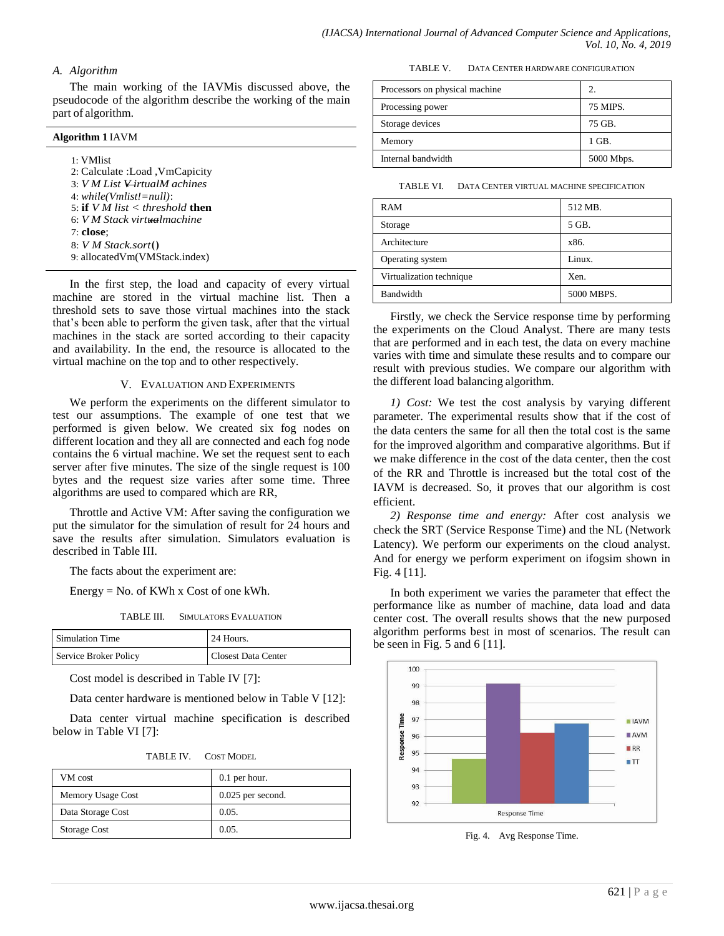## *A. Algorithm*

The main working of the IAVMis discussed above, the pseudocode of the algorithm describe the working of the main part of algorithm.

## **Algorithm 1** IAVM

| 1: VMlist                           |
|-------------------------------------|
| 2: Calculate :Load , VmCapicity     |
| 3: VMList VirtualM achieves         |
| $4: while (Vmlist!=null):$          |
| 5: if V M list $\lt$ threshold then |
| 6: V M Stack virtualmachine         |
| 7: <b>close</b> :                   |
| $8: VM$ Stack.sort()                |
| 9: allocatedVm(VMStack.index)       |

In the first step, the load and capacity of every virtual machine are stored in the virtual machine list. Then a threshold sets to save those virtual machines into the stack that's been able to perform the given task, after that the virtual machines in the stack are sorted according to their capacity and availability. In the end, the resource is allocated to the virtual machine on the top and to other respectively.

## V. EVALUATION AND EXPERIMENTS

We perform the experiments on the different simulator to test our assumptions. The example of one test that we performed is given below. We created six fog nodes on different location and they all are connected and each fog node contains the 6 virtual machine. We set the request sent to each server after five minutes. The size of the single request is 100 bytes and the request size varies after some time. Three algorithms are used to compared which are RR,

Throttle and Active VM: After saving the configuration we put the simulator for the simulation of result for 24 hours and save the results after simulation. Simulators evaluation is described in Table III.

The facts about the experiment are:

Energy = No. of KWh x Cost of one kWh.

TABLE III. SIMULATORS EVALUATION

| Simulation Time       | 24 Hours.           |
|-----------------------|---------------------|
| Service Broker Policy | Closest Data Center |

Cost model is described in Table IV [7]:

Data center hardware is mentioned below in Table V [12]:

Data center virtual machine specification is described below in Table VI [7]:

| TABLE IV. | <b>COST MODEL</b> |
|-----------|-------------------|
|           |                   |

| VM cost           | $0.1$ per hour.     |
|-------------------|---------------------|
| Memory Usage Cost | $0.025$ per second. |
| Data Storage Cost | 0.05.               |
| Storage Cost      | 0.05.               |

TABLE V. DATA CENTER HARDWARE CONFIGURATION

| Processors on physical machine |            |
|--------------------------------|------------|
| Processing power               | 75 MIPS.   |
| Storage devices                | 75 GB.     |
| Memory                         | 1 GB.      |
| Internal bandwidth             | 5000 Mbps. |

TABLE VI. DATA CENTER VIRTUAL MACHINE SPECIFICATION

| RAM                      | 512 MB.    |
|--------------------------|------------|
| Storage                  | 5 GB.      |
| Architecture             | x86.       |
| Operating system         | Linux.     |
| Virtualization technique | Xen.       |
| Bandwidth                | 5000 MBPS. |

Firstly, we check the Service response time by performing the experiments on the Cloud Analyst. There are many tests that are performed and in each test, the data on every machine varies with time and simulate these results and to compare our result with previous studies. We compare our algorithm with the different load balancing algorithm.

*1) Cost:* We test the cost analysis by varying different parameter. The experimental results show that if the cost of the data centers the same for all then the total cost is the same for the improved algorithm and comparative algorithms. But if we make difference in the cost of the data center, then the cost of the RR and Throttle is increased but the total cost of the IAVM is decreased. So, it proves that our algorithm is cost efficient.

*2) Response time and energy:* After cost analysis we check the SRT (Service Response Time) and the NL (Network Latency). We perform our experiments on the cloud analyst. And for energy we perform experiment on ifogsim shown in Fig. 4 [11].

In both experiment we varies the parameter that effect the performance like as number of machine, data load and data center cost. The overall results shows that the new purposed algorithm performs best in most of scenarios. The result can be seen in Fig.  $5$  and  $6$  [11].



Fig. 4. Avg Response Time.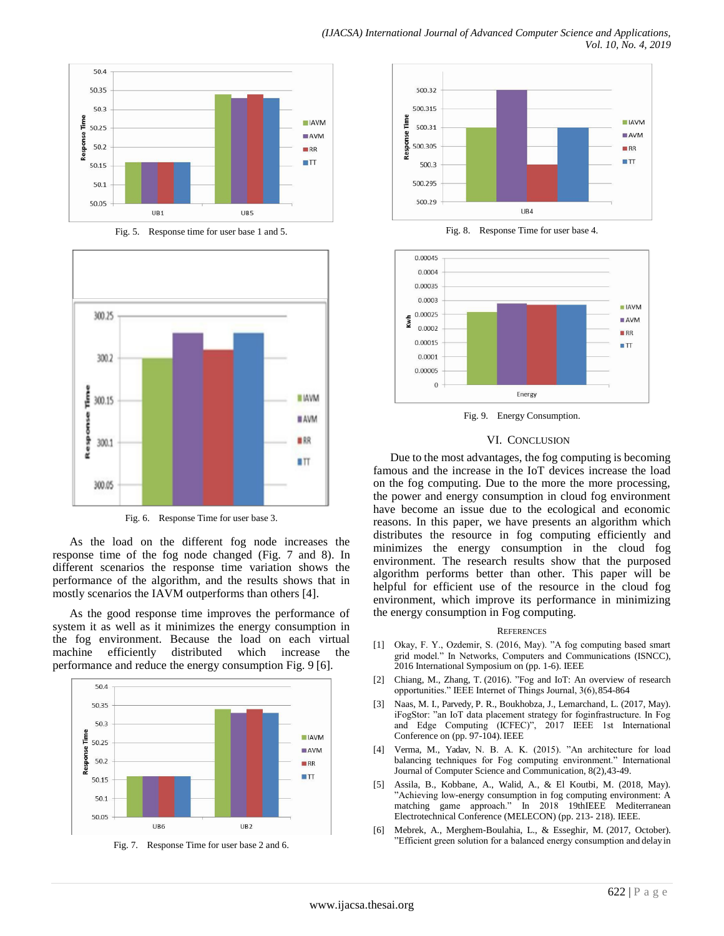

Fig. 5. Response time for user base 1 and 5.



Fig. 6. Response Time for user base 3.

As the load on the different fog node increases the response time of the fog node changed (Fig. 7 and 8). In different scenarios the response time variation shows the performance of the algorithm, and the results shows that in mostly scenarios the IAVM outperforms than others [4].

As the good response time improves the performance of system it as well as it minimizes the energy consumption in the fog environment. Because the load on each virtual machine efficiently distributed which increase the performance and reduce the energy consumption Fig. 9 [6].







Fig. 8. Response Time for user base 4.



Fig. 9. Energy Consumption.

### VI. CONCLUSION

Due to the most advantages, the fog computing is becoming famous and the increase in the IoT devices increase the load on the fog computing. Due to the more the more processing, the power and energy consumption in cloud fog environment have become an issue due to the ecological and economic reasons. In this paper, we have presents an algorithm which distributes the resource in fog computing efficiently and minimizes the energy consumption in the cloud fog environment. The research results show that the purposed algorithm performs better than other. This paper will be helpful for efficient use of the resource in the cloud fog environment, which improve its performance in minimizing the energy consumption in Fog computing.

#### **REFERENCES**

- [1] Okay, F. Y., Ozdemir, S. (2016, May). "A fog computing based smart grid model." In Networks, Computers and Communications (ISNCC), 2016 International Symposium on (pp. 1-6). IEEE
- [2] Chiang, M., Zhang, T. (2016). "Fog and IoT: An overview of research opportunities." IEEE Internet of Things Journal, 3(6),854-864
- Naas, M. I., Parvedy, P. R., Boukhobza, J., Lemarchand, L. (2017, May). iFogStor: "an IoT data placement strategy for foginfrastructure. In Fog and Edge Computing (ICFEC)", 2017 IEEE 1st International Conference on (pp. 97-104). IEEE
- [4] Verma, M., Yadav, N. B. A. K. (2015). "An architecture for load balancing techniques for Fog computing environment." International Journal of Computer Science and Communication, 8(2),43-49.
- Assila, B., Kobbane, A., Walid, A., & El Koutbi, M. (2018, May). "Achieving low-energy consumption in fog computing environment: A matching game approach." In 2018 19thIEEE Mediterranean Electrotechnical Conference (MELECON) (pp. 213- 218). IEEE.
- [6] Mebrek, A., Merghem-Boulahia, L., & Esseghir, M. (2017, October). "Efficient green solution for a balanced energy consumption and delay in